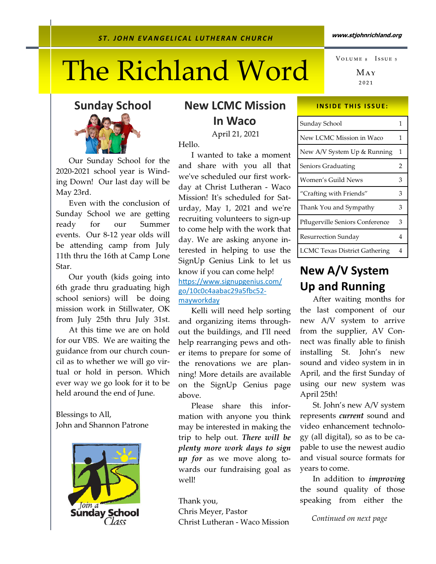# The Richland Word

 $Max$ ₂₀₂₁ VOLUME 8 ISSUE 5

Sunday School



 Our Sunday School for the 2020-2021 school year is Winding Down! Our last day will be May 23rd.

 Even with the conclusion of Sunday School we are getting ready for our Summer events. Our 8-12 year olds will be attending camp from July 11th thru the 16th at Camp Lone Star.

 Our youth (kids going into 6th grade thru graduating high school seniors) will be doing mission work in Stillwater, OK from July 25th thru July 31st.

 At this time we are on hold for our VBS. We are waiting the guidance from our church council as to whether we will go virtual or hold in person. Which ever way we go look for it to be held around the end of June.

Blessings to All, John and Shannon Patrone



## New LCMC Mission In Waco

April 21, 2021

Hello.

 I wanted to take a moment and share with you all that we've scheduled our first workday at Christ Lutheran - Waco Mission! Itʹs scheduled for Saturday, May 1, 2021 and weʹre recruiting volunteers to sign-up to come help with the work that day. We are asking anyone interested in helping to use the SignUp Genius Link to let us know if you can come help! https://www.signupgenius.com/ go/10c0c4aabac29a5fbc52mayworkday

 Kelli will need help sorting and organizing items throughout the buildings, and Iʹll need help rearranging pews and other items to prepare for some of the renovations we are planning! More details are available on the SignUp Genius page above.

 Please share this information with anyone you think may be interested in making the trip to help out. There will be plenty more work days to sign up for as we move along towards our fundraising goal as well!

Thank you,

Chris Meyer, Pastor Christ Lutheran - Waco Mission

### **INSIDE THIS ISSUE:**

| Sunday School                        | 1 |
|--------------------------------------|---|
| New LCMC Mission in Waco             | 1 |
| New A/V System Up & Running          | 1 |
| Seniors Graduating                   | 2 |
| Women's Guild News                   | 3 |
| "Crafting with Friends"              | 3 |
| Thank You and Sympathy               | 3 |
| Pflugerville Seniors Conference      | 3 |
| <b>Resurrection Sunday</b>           | 4 |
| <b>LCMC Texas District Gathering</b> | 4 |

# New A/V System Up and Running

After waiting months for the last component of our new A/V system to arrive from the supplier, AV Connect was finally able to finish installing St. John's new sound and video system in in April, and the first Sunday of using our new system was April 25th!

 St. John's new A/V system represents current sound and video enhancement technology (all digital), so as to be capable to use the newest audio and visual source formats for years to come.

In addition to *improving* the sound quality of those speaking from either the

Continued on next page

#### www.stjohnrichland.org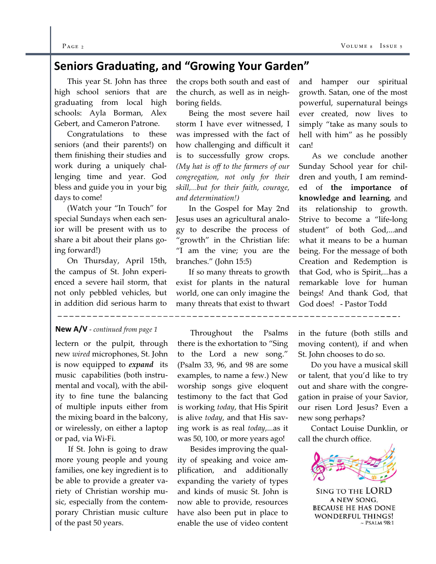#### $P_{\text{AGE 2}}$  Vo

# Seniors Graduating, and "Growing Your Garden"

 This year St. John has three high school seniors that are graduating from local high schools: Ayla Borman, Alex Gebert, and Cameron Patrone.

 Congratulations to these seniors (and their parents!) on them finishing their studies and work during a uniquely challenging time and year. God bless and guide you in your big days to come!

 (Watch your "In Touch" for special Sundays when each senior will be present with us to share a bit about their plans going forward!)

 On Thursday, April 15th, the campus of St. John experienced a severe hail storm, that not only pebbled vehicles, but in addition did serious harm to

## New A/V - continued from page 1

lectern or the pulpit, through new wired microphones, St. John is now equipped to *expand* its music capabilities (both instrumental and vocal), with the ability to fine tune the balancing of multiple inputs either from the mixing board in the balcony, or wirelessly, on either a laptop or pad, via Wi-Fi.

 If St. John is going to draw more young people and young families, one key ingredient is to be able to provide a greater variety of Christian worship music, especially from the contemporary Christian music culture of the past 50 years.

the crops both south and east of the church, as well as in neighboring fields.

 Being the most severe hail storm I have ever witnessed, I was impressed with the fact of how challenging and difficult it is to successfully grow crops. (My hat is off to the farmers of our congregation, not only for their skill,...but for their faith, courage, and determination!)

 In the Gospel for May 2nd Jesus uses an agricultural analogy to describe the process of "growth" in the Christian life: "I am the vine; you are the branches." (John 15:5)

 If so many threats to growth exist for plants in the natural world, one can only imagine the many threats that exist to thwart

 Throughout the Psalms there is the exhortation to "Sing to the Lord a new song." (Psalm 33, 96, and 98 are some examples, to name a few.) New worship songs give eloquent testimony to the fact that God is working today, that His Spirit is alive today, and that His saving work is as real today,...as it was 50, 100, or more years ago!

 Besides improving the quality of speaking and voice amplification, and additionally expanding the variety of types and kinds of music St. John is now able to provide, resources have also been put in place to enable the use of video content

and hamper our spiritual growth. Satan, one of the most powerful, supernatural beings ever created, now lives to simply "take as many souls to hell with him" as he possibly can!

 As we conclude another Sunday School year for children and youth, I am reminded of the importance of knowledge and learning, and its relationship to growth. Strive to become a "life-long student" of both God,...and what it means to be a human being. For the message of both Creation and Redemption is that God, who is Spirit,...has a remarkable love for human beings! And thank God, that God does! - Pastor Todd

in the future (both stills and moving content), if and when St. John chooses to do so.

 Do you have a musical skill or talent, that you'd like to try out and share with the congregation in praise of your Savior, our risen Lord Jesus? Even a new song perhaps?

 Contact Louise Dunklin, or call the church office.



**SING TO THE LORD** A NEW SONG, **BECAUSE HE HAS DONE WONDERFUL THINGS!**  $~\sim$  PSALM 98:1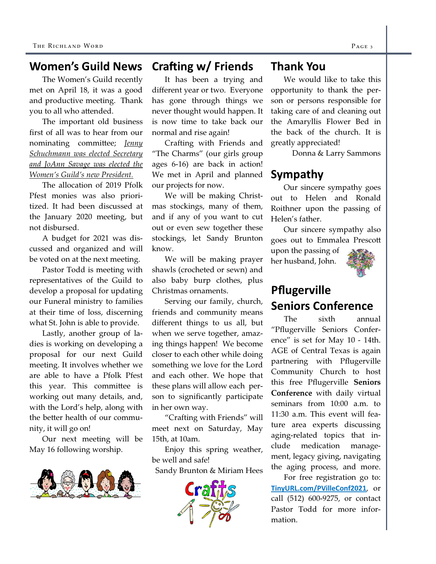#### Crafting  $w/$  Friends Women's Guild News

The Women's Guild recently met on April 18, it was a good and productive meeting. Thank you to all who attended.

 The important old business first of all was to hear from our nominating committee; Jenny Schuchmann was elected Secretary and JoAnn Savage was elected the Women's Guild's new President.

 The allocation of 2019 Pfolk Pfest monies was also prioritized. It had been discussed at the January 2020 meeting, but not disbursed.

 A budget for 2021 was discussed and organized and will be voted on at the next meeting.

 Pastor Todd is meeting with representatives of the Guild to develop a proposal for updating our Funeral ministry to families at their time of loss, discerning what St. John is able to provide.

 Lastly, another group of ladies is working on developing a proposal for our next Guild meeting. It involves whether we are able to have a Pfolk Pfest this year. This committee is working out many details, and, with the Lord's help, along with the better health of our community, it will go on!

 Our next meeting will be May 16 following worship.



 It has been a trying and different year or two. Everyone has gone through things we never thought would happen. It is now time to take back our normal and rise again!

 Crafting with Friends and "The Charms" (our girls group ages 6-16) are back in action! We met in April and planned our projects for now.

 We will be making Christmas stockings, many of them, and if any of you want to cut out or even sew together these stockings, let Sandy Brunton know.

 We will be making prayer shawls (crocheted or sewn) and also baby burp clothes, plus Christmas ornaments.

 Serving our family, church, friends and community means different things to us all, but when we serve together, amazing things happen! We become closer to each other while doing something we love for the Lord and each other. We hope that these plans will allow each person to significantly participate in her own way.

 "Crafting with Friends" will meet next on Saturday, May 15th, at 10am.

 Enjoy this spring weather, be well and safe!

Sandy Brunton & Miriam Hees



## Thank You

We would like to take this opportunity to thank the person or persons responsible for taking care of and cleaning out the Amaryllis Flower Bed in the back of the church. It is greatly appreciated!

Donna & Larry Sammons

## Sympathy

Our sincere sympathy goes out to Helen and Ronald Roithner upon the passing of Helen's father.

 Our sincere sympathy also goes out to Emmalea Presco upon the passing of

her husband, John.



## Pflugerville Seniors Conference

 The sixth annual "Pflugerville Seniors Conference" is set for May 10 - 14th. AGE of Central Texas is again partnering with Pflugerville Community Church to host this free Pflugerville Seniors Conference with daily virtual seminars from 10:00 a.m. to 11:30 a.m. This event will feature area experts discussing aging-related topics that include medication management, legacy giving, navigating the aging process, and more.

 For free registration go to: TinyURL.com/PVilleConf2021, or call (512) 600-9275, or contact Pastor Todd for more information.